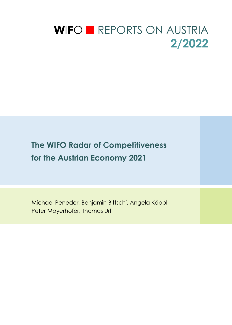# WIFO **EXECUTES** ON AUSTRIA **2/2022**

## **The WIFO Radar of Competitiveness for the Austrian Economy 2021**

Michael Peneder, Benjamin Bittschi, Angela Köppl, Peter Mayerhofer, Thomas Url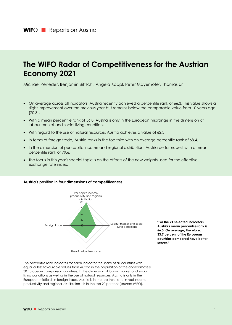## **The WIFO Radar of Competitiveness for the Austrian Economy 2021**

Michael Peneder, Benjamin Bittschi, Angela Köppl, Peter Mayerhofer, Thomas Url

- On average across all indicators, Austria recently achieved a percentile rank of 66.3. This value shows a slight improvement over the previous year but remains below the comparable value from 10 years ago (70.3).
- With a mean percentile rank of 56.8, Austria is only in the European midrange in the dimension of labour market and social living conditions.
- With regard to the use of natural resources Austria achieves a value of 62.3.
- In terms of foreign trade, Austria ranks in the top third with an average percentile rank of 68.4.
- In the dimension of per capita income and regional distribution, Austria performs best with a mean percentile rank of 79.6.
- The focus in this year's special topic is on the effects of the new weights used for the effective exchange rate index.

#### **Austria's position in four dimensions of competitiveness**



**"For the 24 selected indicators, Austria's mean percentile rank is 66.3. On average, therefore, 33.7 percent of the European countries compared have better scores."** 

The percentile rank indicates for each indicator the share of all countries with equal or less favourable values than Austria in the population of the approximately 30 European comparison countries. In the dimension of labour market and social living conditions as well as in the use of natural resources, Austria is only in the European midfield. In foreign trade, Austria is in the top third, and in real income, productivity and regional distribution it is in the top 20 percent (source: WIFO).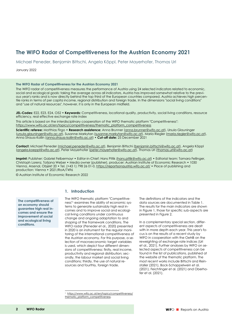### **The WIFO Radar of Competitiveness for the Austrian Economy 2021**

Michael Peneder, Benjamin Bittschi, Angela Köppl, Peter Mayerhofer, Thomas Url

January 2022

#### **The WIFO Radar of Competitiveness for the Austrian Economy 2021**

The WIFO radar of competitiveness measures the performance of Austria using 24 selected indicators related to economic, social and ecological goals: taking the average across all indicators, Austria has improved somewhat relative to the previous year's ranks and is now directly behind the top third of the European countries compared. Austria achieves high percentile ranks in terms of per capita income, regional distribution and foreign trade. In the dimensions "social living conditions" and "use of natural resources", however, it is only in the European midfield.

**JEL-Codes:** E22, E23, E24, O52 • **Keywords:** Competitiveness, locational quality, productivity, social living conditions, resource efficiency, real effective exchange rate index

This article is based on the interdisciplinary cooperation of the WIFO thematic platform "Competitiveness": https://www.wifo.ac.at/en/topics/competitiveness/thematic\_platform\_competitiveness

**Scientific referee:** Matthias Firgo • **Research assistence:** Anna Brunner (anna.brunner@wifo.ac.at), Ursula Glauninger (ursula.glauninger@wifo.ac.at), Susanne Markytan (susanne.markytan@wifo.ac.at), Maria Riegler (maria.riegler@wifo.ac.at), Anna Strauss-Kollin (anna.strauss-kollin@wifo.ac.at) • **Cut-off date:** 25 December 2021

**Contact:** Michael Peneder (michael.peneder@wifo.ac.at), Benjamin Bittschi (benjamin.bittschi@wifo.ac.at), Angela Köppl (angela.koeppl@wifo.ac.at), Peter Mayerhofer (peter.mayerhofer@wifo.ac.at), Thomas Url (thomas.url@wifo.ac.at)

Imprint: Publisher: Gabriel Felbermayr • Editor-in-Chief: Hans Pitlik (hans.pitlik@wifo.ac.at) • Editorial team: Tamara Fellinger, Christoph Lorenz, Tatjana Weber • Media owner (publisher), producer: Austrian Institute of Economic Research • 1030 Vienna, Arsenal, Objekt 20 • Tel. (+43 1) 798 26 01-0, https://reportsonaustria.wifo.ac.at/ • Place of publishing and production: Vienna • 2021/RoA/7496

© Austrian Institute of Economic Research 2022

**The competitiveness of an economy should guarantee high real incomes and ensure the improvement of social and ecological living conditions.** 

#### **1. Introduction**

The WIFO thematic platform "Competitiveness"1 examines the ability of economic systems to generate sustainably high real incomes and to improve social and ecological living conditions under continuous change and ongoing adaptation to and shaping of the framework conditions. The WIFO radar (Peneder et al., 2020) presented in 2020 is an instrument for the regular monitoring of the international competitiveness of the Austrian economy. For this purpose, a selection of macroeconomic target variables is used, which depict four different dimensions of competitiveness: firstly, real income, productivity and regional distribution; secondly, the labour market and social living conditions; thirdly, the use of natural resources and fourthly, foreign trade.

The definitions of the indicators and the data sources are documented in Table 1. The results for the main indicators are shown in Figure 1, those for specific sub-aspects are presented in Figure 2.

In a complementary special section, different aspects of competitiveness are dealt with in more depth each year. This year's focus is on the results of a recent study by WIFO in cooperation with the OeNB on the reweighting of exchange rate indices (Url et al., 2021). Further analyses by WIFO on selected aspects of competitiveness can be found in the list of publications, published at the website of the thematic platform. The most recent works include Bittschi and Reinstaller (2021), Bock-Schappelwein et al. (2021), Feichtinger et al. (2021) and Oberhofer et al. (2021).

<sup>1</sup> https://www.wifo.ac.at/en/topics/competitiveness/ thematic\_platform\_competitiveness.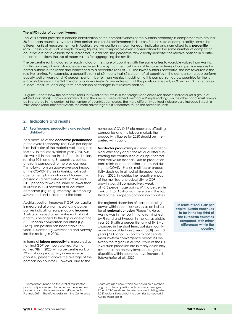#### **The WIFO radar of competitiveness**

The WIFO radar provides a concise classification of the competitiveness of the Austrian economy in comparison with around 30 European countries, over four time periods and for 24 performance indicators. For the sake of comparability across the different units of measurement, only Austria's relative position is shown for each indicator and normalised to a **percentile rank**1. These values, unlike simple ranking figures, are comparable even if observations for the same number of comparison countries are not available for all indicators. In addition, the percentile rank directly indicates the relative position in a distribution2 and allows the use of mean values for aggregating the results.

The percentile rank indicates for each indicator the share of countries with the same or less favourable values than Austria. For this purpose, all indicators are defined in such a way that the most favourable values in terms of competitiveness are located outside in the radar and correspond to a percentile rank of 100. The lower Austria's percentile, the less favourable the relative ranking. For example, a percentile rank of 60 means that 60 percent of all countries in the comparison group perform equally well or worse and 40 percent perform better than Austria. In addition to this comparison across countries for the latest available year *t,* the WIFO radar also shows Austria's percentile rank at the points in time *t* – 1, *t* – 3 and *t* – 10. This enables a short-, medium- and long-term comparison of changes in its relative position.

1 Figures 1 and 2 show the percentile ranks for 24 indicators, while in the foreign trade dimension another indicator (or a group of related indicators) is shown separately due to the specific measurement method. – 2 Simple rankings, on the other hand, must always be interpreted in the context of the number of countries compared. The more differently defined indicators are included in such a multi-dimensional indicator system, the more advantageous it is therefore to use the percentile rank.

#### **2. Indicators and results**

 $\_$ 

#### **2.1 Real income, productivity and regional distribution**

As a measure of the **economic performance** of the overall economy, real GDP per capita is an indicator of the material well-being of a society. In the last available year 2020, Austria was still in the top third of the distribution, ranking 10th among 31 countries, but lost one rank compared to the previous year. This follows from an above-average impact of the COVID-19 crisis in Austria, not least due to the high importance of tourism. Expressed as a percentile rank, in 2020 real GDP per capita was the same or lower than in Austria in 71.0 percent of all countries compared (Figure 1), whereby Luxembourg, Switzerland and Ireland took the lead.

Austria's position improves if GDP per capita is measured at uniform purchasing power parities indicating real **per capita incomes**. Austria achieved a percentile rank of 77.4 and thus belonged to the top quarter of the 31 European comparison countries (Figure 2). This position has been stable for 6 years. Luxembourg, Switzerland and Norway led the ranking in 2020.

In terms of **labour productivity**, measured as nominal GDP per hours worked, Austria ranked 9th in 2020 with a percentile rank of 72.4. Labour productivity in Austria was about 18 percent above the average of the comparison countries. However, due to the

numerous COVID-19 aid measures affecting companies and the labour market, the productivity figures for 2020 should be interpreted with caution.

**Multifactor productivity** is a measure of technical efficiency and is the residual after subtracting the contribution of all input factors from real value added<sup>2</sup>. Due to production constraints and the decline in demand during the COVID-19 crisis, multifactor productivity declined in almost all European countries in 2020. In Austria, the negative impact of the multifactor productivity to GDP growth was still comparatively weak at -2.3 percentage points. With a percentile rank of 71.0, Austria was therefore in the top third of the European comparison countries.

The regional dispersion of real purchasing power within countries<sup>3</sup> serves as an indicator of **regional cohesion** (Figure 1). Here, Austria was in the top fifth of a ranking led by Finland and Sweden in the last available year 2018 with a percentile rank of 84.6 – unchanged in the short term, but significantly more favourable than 3 years (80.8) and 10 years (73.1) ago. This points to noticeable medium-term convergence processes between the regions in Austria, while at the EU level such processes are in many cases only evident at the country level, and regional disparities within countries have increased. (Mayerhofer et al., 2020).

**In terms of real GDP per capita, Austria continues to be in the top third of the European countries compared, with minor differences within the country.** 

<sup>2</sup> Comparisons based on the level of multifactor productivity are subject to numerous measurement problems and critical assumptions (Peneder & Prettner, 2021). Therefore, data from the Conference

Board are used here, which are based on a method of growth decomposition with two-year averages. 3 The NUTS-3 level used for measurement distinguishes 1,367 regions throughout the countries compared; in Austria there are 35.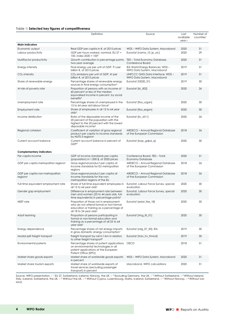#### Table 1**: Selected key figures of competitiveness**

|                                                         | Definition                                                                                                                                                         | Source                                                                              | Last<br>available<br>year t | Number of<br>countries <sup>1</sup> |
|---------------------------------------------------------|--------------------------------------------------------------------------------------------------------------------------------------------------------------------|-------------------------------------------------------------------------------------|-----------------------------|-------------------------------------|
| <b>Main indicators</b>                                  |                                                                                                                                                                    |                                                                                     |                             |                                     |
| Economic output<br>Labour productivity                  | Real GDP per capita in $\epsilon$ , at 2015 prices<br>GDP per hours worked, nominal, EU 27 =                                                                       | WDS - WIFO Data System, Macrobond<br>Eurostat [nama_10_lp_ulc]                      | 2020<br>2020                | 31<br>29                            |
| Multifactor productivity                                | 100, index $2020 = 100^2$<br>Growth contribution in percentage points,                                                                                             | TED - Total Economy Database,                                                       | 2020                        | 31                                  |
| Energy intensity                                        | two-year average<br>Final energy use per unit of GDP, PJ per<br>billion $\xi$ , at 2015 prices                                                                     | Conference Board<br>IEA World Energy Balances; WDS -<br>WIFO Data System, Macrobond | 2019                        | 31                                  |
| $CO2$ intensity                                         | CO <sub>2</sub> emissions per unit of GDP, kt per<br>billion $\epsilon$ , at 2015 prices                                                                           | UNFCCC GHG Data Interface: WDS-<br>WIFO Data System, Macrobond                      | 2019                        | 31                                  |
| Share of renewable energy                               | Percentage shares of renewable energy<br>sources in final energy consumption <sup>3</sup>                                                                          | Eurostat [t2020_31]                                                                 | 2019                        | 30                                  |
| At-risk-of-poverty rate                                 | Proportion of persons with an income of<br>60 percent or less of the median<br>equivalised income in percent, by social<br>benefits <sup>4</sup>                   | Eurostat [ilc_li02]                                                                 | 2020                        | 26                                  |
| Unemployment rate                                       | Percentage shares of unemployed in the<br>15 to 64 year old labour force <sup>5</sup>                                                                              | Eurostat [Ifsa_urgan]                                                               | 2020                        | 30                                  |
| Employment rate                                         | Share of employees in all 15 to 64 year<br>olds <sup>5</sup>                                                                                                       | Eurostat [Ifsa_ergan]                                                               | 2020                        | 30                                  |
| Income distribution                                     | Ratio of the disposable income of the<br>20 percent of the population with the<br>highest to the 20 percent with the lowest<br>disposable income <sup>4</sup>      | Eurostat [ilc_di11]                                                                 | 2020                        | 26                                  |
| Regional cohesion                                       | Coefficient of variation of gross regional<br>product per capita to income standards<br>by NUTS-3 regions <sup>6</sup>                                             | ARDECO - Annual Regional Database<br>of the European Commission                     | 2018                        | 26                                  |
| Current account balance                                 | Current account balance in percent of<br>GDP <sub>5</sub>                                                                                                          | Eurostat [bop_gdp6_q]                                                               | 2020                        | 30                                  |
| <b>Complementary indicators</b>                         |                                                                                                                                                                    |                                                                                     |                             |                                     |
| Per capita income                                       | GDP at income standards per capita<br>(population) in 1,000 \$, at 2020 prices                                                                                     | Conference Board, TED - Total<br><b>Economy Database</b>                            | 2020                        | 31                                  |
| GDP per capita metropolitan regions <sup>6</sup>        | Gross regional product per capita at<br>income standards for EU metropolitan<br>regions                                                                            | ARDECO - Annual Regional Database<br>of the European Commission                     | 2018                        | 26                                  |
| GDP per capita non-metropolitan<br>regions <sup>6</sup> | Gross regional product per capita at<br>income standards for the non-<br>metropolitan regions of the EU                                                            | ARDECO - Annual Regional Database<br>of the European Commission                     | 2018                        | 26                                  |
| Full-time equivalent employment rate                    | Share of full-time equivalent employees in<br>all 15 to 64 year olds <sup>5</sup>                                                                                  | Eurostat, Labour Force Survey, special<br>evaluation                                | 2020                        | 30                                  |
| Gender gap employment                                   | Difference in employment rate between<br>men and women (25 to 44 year olds, full-<br>time equivalents) in percentage points <sup>5</sup>                           | Eurostat, Labour Force Survey, special<br>evaluation                                | 2020                        | 30                                  |
| NEET rate                                               | Proportion of those not in employment<br>who do not attend formal or non-formal<br>education or training as a percentage of<br>all 18 to 24 year olds <sup>5</sup> | Eurostat [edat_lfse_18]                                                             | 2020                        | 30                                  |
| Adult learning                                          | Proportion of persons participating in<br>formal or non-formal education and<br>training as a percentage of all 25 to 64<br>year olds <sup>5</sup>                 | Eurostat [trng_lfs_01]                                                              | 2020                        | 30                                  |
| Energy dependence                                       | Percentage shares of net energy imports<br>in gross domestic energy consumption <sup>7</sup>                                                                       | Eurostat [sdg_07_50]; IEA                                                           | 2019                        | 30                                  |
| Modal split freight transport                           | Freight transport by rail in t-km in relation<br>to other freight transport <sup>8</sup>                                                                           | Eurostat (tran hv frmod)                                                            | 2019                        | 30                                  |
| Environmental patents                                   | Percentage shares of patent applications<br>on environmental technologies in all<br>patent applications at the European<br>Patent Office (EPO)                     | <b>OECD</b>                                                                         | 2018                        | 31                                  |
| Market share goods exports                              | Market share of worldwide goods exports<br>in percent                                                                                                              | WDS - WIFO Data System, Macrobond                                                   | 2020                        | 31                                  |
| Market share tourism exports                            | Market share of worldwide exports of<br>travel services (excluding passenger<br>transport) in percent                                                              | Macrobond, WIFO calculations                                                        | 2020                        | 31                                  |

Source: WIFO presentation. – 1 EU 27, Switzerland, Iceland, Norway, the UK. – 2 Excluding Germany, the UK. – 3 Without Switzerland. – 4 Without Ireland, Italy, Iceland, Switzerland, the UK. – 5 Without the UK. – 6 Without Cyprus, Luxembourg, Malta, Iceland, Switzerland. – 7 Without Norway. – 8 Without Iceland.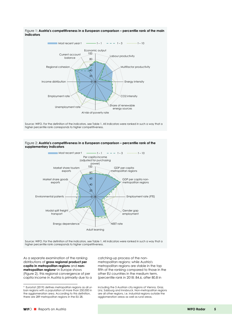

Figure 1: **Austria's competitiveness in a European comparison – percentile rank of the main indicators** 

Source: WIFO. For the definition of the indicators, see Table 1. All indicators were ranked in such a way that a higher percentile rank corresponds to higher competitiveness.





Source: WIFO. For the definition of the indicators, see Table 1. All indicators were ranked in such a way that a higher percentile rank corresponds to higher competitiveness.

As a separate examination of the ranking distributions of **gross regional product per capita in metropolitan regions** and **nonmetropolitan regions**4 in Europe shows (Figure 2), this regional convergence of per capita income in Austria is primarily due to a

catching-up process of the nonmetropolitan regions: while Austria's metropolitan regions are stable in the top fifth of the ranking compared to those in the other EU countries in the medium term, (percentile rank in 2018: 84.6, after 80.8 in

including the 5 Austrian city regions of Vienna, Graz, Linz, Salzburg and Innsbruck. Non-metropolitan regions are all other regions, i.e. industrial regions outside the agglomeration areas as well as rural areas.

<sup>4</sup> Eurostat (2019) defines metropolitan regions as all urban regions with a population of more than 250,000 in the agglomeration area. According to this definition, there are 289 metropolitan regions in the EU 28,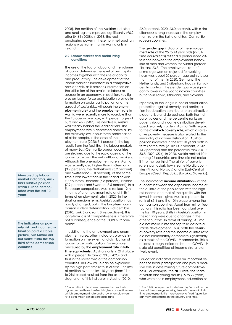2008), the position of the Austrian industrial and rural regions improved significantly (96.2 after 84.6 in 2008). In 2018, the real purchasing power in these non-metropolitan regions was higher than in Austria only in Ireland.

#### **2.2 Labour market and social living conditions**

The use of the factor labour and the volume of labour determine the level of per capita incomes together with the use of capital and productivity. The development of the labour market is important in a competitiveness analysis, as it provides information on the utilisation of the available labour resources in an economy. In addition, key figures on labour force participation provide information on social participation and the spread of social risks. Although the **unemployment rate**5 and the **employment rate** in Austria were recently more favourable than the European average, with percentages of 63.3 and 66.7 (2020), respectively, Austria was clearly behind the leading field. The employment rate is depressed above all by the relatively low labour force participation of older people. In the case of the unemployment rate (2020: 5.4 percent), the lag results from the fact that the labour markets of many East-Central European countries are strained due to the rapid ageing of the labour force and the net outflow of workers. Although the unemployment rate in Austria was recently also higher than in Germany (3.9 percent), the Netherlands (3.9 percent) and Switzerland (5.0 percent), at the same time it was lower than in the Scandinavian EU countries Denmark (5.8 percent), Finland (7.9 percent) and Sweden (8.5 percent). In a European comparison, Austria ranked 12th in terms of unemployment rate and 11th in terms of employment rate in 2020. In the short or medium term, Austria's position has hardly changed, but in the long-term comparison a clear deterioration is discernible (2010: rank 3 and rank 8, respectively). This long-term loss of competitiveness is therefore not a consequence of the COVID-19 pandemic.

In addition to the employment and unemployment rates, other indicators provide information on the extent and distribution of labour force participation. For example, measured by the **employment rate in fulltime equivalents**<sup>6</sup>, Austria is only in 21st place with a percentile rank of 33.3 (2020) and thus in the lower third of the comparison countries. This low value can be explained by the high part-time rate in Austria. The loss of position over the last 10 years (from 11th to 21st place) resulted from the extensive stagnation of this indicator in Austria (2010:

62.0 percent, 2020: 63.0 percent), with a simultaneous strong increase in the employment rate in the Baltic and East-Central European countries.

The **gender gap** indicator of the **employment rate** of the 25 to 44 year olds (in fulltime equivalents) reflects a pronounced difference between the employment behaviour of men and women for Austria (percentile rank 23.3). The employment rate of prime-age women adjusted for working hours was about 20 percentage points lower than that of men in 2020. Germany, the Netherlands, and Switzerland had similar values. In contrast, the gender gap was significantly lower in the Scandinavian countries, but also in Latvia, Lithuania, and Slovenia.

Especially in the long run, social equalisation, protection against poverty and participation in education contribute to an attractive place to live and do business. Both the indicator values and the percentile ranks on poverty risk and income distribution developed relatively stable in Austria. With regard to the **at-risk-of-poverty rate**, which as a relative poverty measure is also related to the inequality of income distribution, Austria's position improved in the last 10 years both in terms of the rate (2010: 14.7 percent, 2020: 13.9 percent) and the percentile rank (2010: 53.8; 2020: 65.4). In 2020, Austria ranked 10th among 26 countries and thus did not make it into the top third. The at-risk-of-poverty rate is particularly low in some Nordic countries (Finland, Norway) and in East-Central Europe (Czech Republic, Slovakia, Slovenia).

The indicator of **income distribution** – as the quotient between the disposable income of the quintile of the population with the highest income and that of the quintile with the lowest income – gives Austria a percentile rank of 65.4 and the 10th place among the comparison countries. Apart from minor fluctuations, this ratio has been constant over the last 10 years. Shifts in Austria's position in the ranking were due to changes in the other countries. In terms of ranking, Austria did not make it into the top third despite a stable development. Thus, both the at-riskof-poverty rate and the income quintile ratio did not immediately deteriorate significantly as a result of the COVID-19 pandemic. This is at least a rough indicator that the COVID-19 state aid benefitted all income strata relatively evenly.

Education indicators cover an important aspect of social participation and play a decisive role in determining future competitiveness. For example, the **NEET rate,** the share of youth and young adults (15 to 29 years) who were not in employment, education or

**Measured by labour market indicators, Austria's relative position within Europe deteriorated over the last 10 years.** 

**The indicators on poverty risk and income distribution paint a stable picture, but Austria did not make it into the top third of the comparison countries.** 

<sup>5</sup> Since all indicators have been ranked so that a higher percentile rank reflects higher competitiveness, a high employment rate and a low unemployment rate both mean a high percentile rank.

<sup>6</sup> The full-time equivalent is defined by Eurostat on the basis of the average working time of a person in fulltime employment. It is therefore not a fixed figure, but can vary depending on the country and time.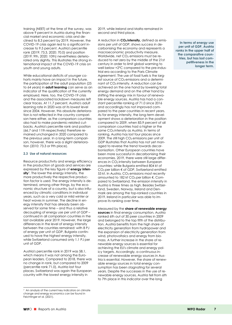training (NEET) at the time of the survey, was above 9 percent in Austria during the financial market and economic crisis and declined to 8.3 percent by 2019. However, the COVID-19 crisis again led to a significant increase to 9.5 percent. Austria's percentile rank (2019: 73.3, 2020: 70.0) and position (2019: 9th, 2020: 10th) nevertheless deteriorated only slightly. This illustrates the strong international impact of the COVID-19 crisis on youth and young adults.

While educational deficits of younger cohorts mainly have an impact in the future, the participation of the adult population (25 to 64 years) in **adult learning** can serve as an indicator of the qualification of the currently employed. Here, too, the COVID-19 crisis and the associated lockdown measures left clear traces. At 11.7 percent, Austria's adult learning rate in 2020 was at its lowest level since 2004. However, this absolute deterioration is not reflected in the country comparison here either, as the comparison countries also had to make pandemic-related cutbacks. Austria's percentile rank and position (66.7 and 11th respectively) therefore remained unchanged in 2020 compared to the previous year. In a long-term comparison, however, there was a slight deterioration (2010: 73.3 or 9th place).

#### **2.3 Use of natural resources**

Resource productivity and energy efficiency in the production of goods and services are expressed by the key figure of **energy inten**sity<sup>7</sup>. The lower the energy intensity, the more productively the respective production factor is used. The energy intensity is determined, among other things, by the economic structure of a country, but is also influenced by climatic conditions in individual years, such as a very cold or mild winter or heat waves in summer. The decline in energy intensity that has already been observed for some time – and thus a relative decoupling of energy use per unit of GDP – continued in all comparison countries in the last available year 2019. However, the large differences in the level of energy intensity between the countries remained: with 8 PJ of energy per unit of GDP, Bulgaria continued to have the highest energy intensity, while Switzerland consumed only 1.1 PJ per unit of GDP.

Austria's percentile rank in 2019 was 58.1, which means it was not among the European leaders. Compared to 2018, there was no change in rank, but compared to 2009 (percentile rank 71.0), Austria lost four places. Switzerland was again the European country with the lowest energy intensity in

 $7$  An analysis of the current key indicators on climate change and energy economics can be found in Feichtinger et al. (2021).

2019, while Ireland and Malta remained in second and third place.

A reduction in **CO2 intensity,** defined as emissions per unit of GDP, shows success in decarbonising the economy and represents a macroeconomic productivity measure. Worldwide, net  $CO<sub>2</sub>$  emissions must be reduced to net zero by the middle of the 21st century in order to limit global warming to well below +2°C compared to the pre-industrial era according to the Paris Climate Agreement. The use of fossil fuels is the largest source of CO<sub>2</sub> emissions and a determinant of CO<sub>2</sub> intensity. A reduction can be achieved on the one hand by lowering total energy demand and on the other hand by shifting the energy mix in favour of renewable energy sources. Austria has had a constant percentile ranking of 71.0 since 2016 and accordingly has not improved compared to the peer countries in recent years. As for energy intensity, the long-term development shows a deterioration in the position compared to 2009, when 83.9 percent of all comparison countries had a higher or the same CO<sub>2</sub> intensity as Austria. In terms of ranking, Austria has lost four places since 2009. The still high  $CO<sub>2</sub>$  emissions per unit of GDP illustrates that Austria has not yet managed to reverse the trend towards decarbonisation. Other European countries have been more successful in decarbonising their economies. 2019, there were still large differences in CO2 intensity between European countries: while Bulgaria emitted 804 kt of CO2 per billion € of GDP, Switzerland emitted 53 kt. In Austria,  $CO<sub>2</sub>$  emissions most recently amounted to 182 kt CO<sub>2</sub> per billion €. Compared to Switzerland, the emission intensity in Austria is three times as high. Besides Switzerland, Sweden, Norway, Ireland and Denmark are among the top-ranked countries in 2019. Ireland in particular was able to improve its ranking over time.

Measured by the **share of renewable energy sources** in final energy consumption, Austria ranked 6th out of 30 peer countries in 2009 and belonged to the top fifth of the distribution. Austria benefits from the high share of electricity generation from hydropower and the expansion of electricity generation from wind, photovoltaics and energy from biomass. A further increase in the share of renewable energy sources is essential for achieving the EU's climate and energy policy targets. Accordingly, a continuous increase of renewable energy sources in Austria is essential. However, the share of renewable energy sources in total energy consumption has been stagnating for several years. Despite the successes in the use of renewable energy sources, Austria fell from 6th to 7th place in this indicator over the long

**In terms of energy use per unit of GDP, Austria ranks in the upper half of the comparative countries, but has lost competitiveness in the longer term.**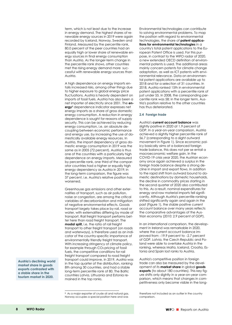term, which is not least due to the increase in energy demand. The highest shares of renewable energy sources in 2019 were again recorded by Iceland, Norway, Sweden and Finland. Measured by the percentile rank. 80.0 percent of the peer countries had an equally high or lower share of renewable energy sources in final energy consumption than Austria. As the longer-term change in the percentile rank shows, other countries met the rising energy demand more successful with renewable energy sources than Austria.

A high dependence on energy imports entails increased risks, among other things due to higher exposure to global energy price fluctuations. Austria is heavily dependent on imports of fossil fuels. Austria has also been a net importer of electricity since 2001. The **energy**8 dependence indicator expresses net energy imports as a share of gross domestic energy consumption. A reduction in energy dependence is sought for reasons of supply security. This can be achieved by reducing energy consumption, i.e. an absolute decoupling between economic performance and energy use, by increasing the use of domestically available energy resources. In Austria, the import dependency of gross domestic energy consumption in 2019 was the same as in 2005 (72 percent). Austria is thus one of the countries with a particularly high dependence on energy imports. Measured by percentile rank, one third of the comparator countries had a higher or equally high energy dependency as Austria in 2019; in the long-term comparison, the figure was 37 percent, i.e. Austria's relative position has worsened.

Greenhouse gas emissions and other externalities of transport, such as air pollution, noise or congestion, are among the critical variables of decarbonisation and mitigation of negative environmental effects. Goods transport largely takes place by rail, road or water, with externalities differing by mode of transport. Rail freight transport performs better here than road freight transport. The **modal split,** i.e. the ratio of rail freight transport to other freight transport (on roads and waterways), is therefore used as an indicator of the country-specific importance of environmentally friendly freight transport. With increasing stringency of climate policy, for example through CO<sub>2</sub> pricing of fossil fuels, the competitive conditions for rail freight transport compared to road freight transport could improve. In 2019, Austria was in the top quarter of the distribution, ranking 8th among 30 countries, and had a stable long-term percentile rank of 80. The Baltic countries Latvia, Lithuania and Estonia remained in the top ranks.

8 As a major exporter of crude oil and natural gas, Norway occupies a special position here and was

Environmental technologies can contribute to solving environmental problems. To map the position with regard to environmental technologies, the share of **patent applications for environmental technologies** in a country's total patent applications to the European Patent Office is used. For this purpose, in contrast to the WIFO radar of 2020, a new extended OECD definition of environmental patents is used. The additional areas mainly concern patents for climate change adaptation, as well as ICT patents with environmental relevance. Data on environmental patent applications are available up to 2018 and for a selection of 31 countries. In 2018, Austria ranked 15th in environmental patent applications with a percentile rank of just under 55. In 2008, the corresponding percentile rank was 58; in the longer term, Austria's position relative to the other countries has thus deteriorated.

#### **2.4 Foreign trade**

Austria's **current account balance** was slightly positive in 2020 at 1.9 percent of GDP. In a year-on-year comparison, Austria achieved a slightly higher percentile rank of 56.7 (corresponding to a slight outward movement in Figure 1). Since economic policy basically aims at a balanced foreign trade balance, this does not per se entail a macroeconomic welfare gain. In the COVID-19 crisis year 2020, the Austrian economy once again achieved a surplus in the foreign trade balance despite a strong decline in import and export flows. In addition to the rapid shift from outward bound to domestic destinations by domestic households, the decline in commodity prices starting in the second quarter of 2020 also contributed to this. As a result, nominal expenditures for energy and raw material imports fell significantly. Although Austria's percentile ranking shifted significantly again and again in the past (Figure 1), the stable positive current account balance over many years reflects the comparative advantages of the Austrian economy (2010: 2.9 percent of GDP).

In an international comparison, the development in Ireland was remarkable in 2020, where the current account balance improved from -19.9 percent to -2.7 percent of GDP. Latvia, the Czech Republic and Poland were able to overtake Austria in the ranking, whereas Malta, Iceland, Croatia, Estonia and Spain lost ranks to Austria.

Austria's competitive position in foreign trade can also be measured by the development of its **market share** in global **goods exports** (to about 180 countries). This key figure shifts only slightly in a year-on-year comparison, which means that changes in competitiveness only become visible in the long-

**Austria's declining world market share in goods exports contrasted with a stable share in the tourism market in 2020.** 

therefore not included as an outlier in the country comparison.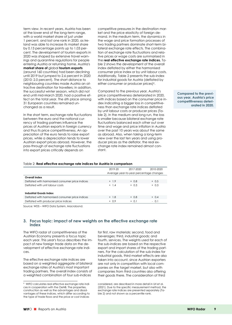term view. In recent years, Austria has been at the lower end of the long-term range, with a world market share of just under 1 percent, and lost one rank in 2020, as Ireland was able to increase its market share by 0.13 percentage points up to 1.03 percent. The development of tourism exports in 2020 was shaped by extensive travel warnings and quarantine regulations for people entering Austria or returning home. Austria's **market share of** global **tourism exports**  (around 160 countries) had been declining until 2019 but jumped to 2.6 percent in 2020 (2010: 2.0 percent). The short distance to neighbouring countries made Austria an attractive destination for travellers; in addition, the successful winter season, which did not end until mid-March 2020, had a positive effect on the total year. The 6th place among 31 European countries remained unchanged as a result.

In the short term, exchange rate fluctuations between the euro and the national currency of trading partners influence the prices of Austrian exports in foreign currency and thus its price competitiveness. An appreciation of the euro tends to raise export prices, while a depreciation tends to lower Austrian export prices abroad. However, the pass-through of exchange rate fluctuations into export prices critically depends on

competitive pressures in the destination market and the price elasticity of foreign demand. In the medium term, the dynamics in the wage and price formation processes of two trading partners dominate short-term bilateral exchange rate effects. The combination of exchange rate fluctuations and relative prices or wage costs are summarised in the **real effective exchange rate indices.** Table 2 shows the development of the overall index deflated by either the harmonised consumer price index or by unit labour costs. Additionally, Table 2 presents the sub-index for industrial goods for Austria (deflated by either consumer or producer prices)<sup>9</sup>.

Compared to the previous year, Austria's price competitiveness deteriorated in 2020, with indices based on the consumer price index indicating a bigger loss in competitiveness than exchange rate indices deflated by unit labour costs or producer prices (Table 2). In the medium and long run, the loss is smaller because bilateral exchange rate fluctuations balanced each other out over time and wage and price inflation in Austria over the past 10 years was about the same as abroad. Also, when taking a long-term view over the last ten years and using producer prices as the deflator, the real exchange rate index remained almost constant.

**Compared to the previous year, Austria's price competitiveness deteriorated in 2020.** 

#### Table 2: **Real effective exchange rate indices for Austria in comparison**

|                                                 | 2019-20                                 | 2017-2020 | 2010-2020 |  |
|-------------------------------------------------|-----------------------------------------|-----------|-----------|--|
|                                                 | Average year-to-year percentage changes |           |           |  |
| Overall index                                   |                                         |           |           |  |
| Deflated with harmonised consumer price indices | $+ 1.9$                                 | $+ 0.8$   | $+ 0.5$   |  |
| Deflated with unit labour costs                 | $+ 1.4$                                 | $+ 0.3$   | $+ 0.3$   |  |
|                                                 |                                         |           |           |  |
| <b>Industrial Goods Index</b>                   |                                         |           |           |  |
| Deflated with harmonised consumer price indices | $+ 1.8$                                 | $+ 0.8$   | $+ 0.4$   |  |
| Deflated with producer price indices            | $+ 0.9$                                 | $+ 0.1$   | $-0.1$    |  |

Source: WDS – WIFO Data System, Macrobond.

#### **3. Focus topic: impact of new weights on the effective exchange rate index**

The WIFO radar of competitiveness of the Austrian Economy presents a focus topic each year. This year's focus describes the impact of new foreign trade data on the development of effective exchange rate indices.

The effective exchange rate indices are based on a weighted aggregate of bilateral exchange rates of Austria's most important trading partners. The overall index consists of a weighted combination of four sub-indices

for first, raw materials; second, food and beverages; third, industrial goods; and fourth, services. The weights used for each of the sub-indices are based on the respective export and import shares of the trading partners. For the calculation of the sub-index for industrial goods, third market effects are also taken into account, since Austrian exporters are not only in competition with local companies on the target market, but also with companies from third countries also offering their goods there. The consideration of third

<sup>9</sup> WIFO calculates real effective exchange rate indices in cooperation with the OeNB. The properties, construction as well as the advantages and disadvantages of these indices, which differ according to the type of trade flows and the price or cost indices

considered, are described in more detail in Url et al. (2021). Due to the specific measurement method, the exchange rate indices are presented separately (Table 2) and not shown as a percentile rank.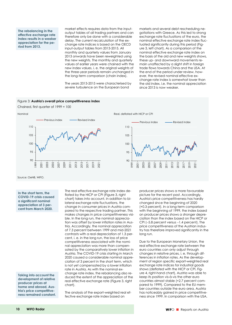**The rebalancing in the effective exchange rate index results in a weaker appreciation for the period from 2013.** 

market effects requires data from the inputoutput tables of all trading partners and can therefore only be done with a considerable delay. The current recalculation of the exchange rate indices is based on the OECD input-output tables from 2013-2015. All monthly and quarterly values from January 2013 onwards have been reweighted using the new weights. The monthly and quarterly values of earlier years were chained with the new index values, i. e. the original weights of the three-year periods remain unchanged in the long-term comparison (chain index).

The years 2013-2015 were characterised by severe turbulence on the European bond

markets and several debt rescheduling negotiations with Greece. As this led to strong exchange rate fluctuations of the euro, the nominal effective exchange rate index fluctuated significantly during this period (Figure 3, left chart). As a comparison of the nominal effective exchange rate index on the basis of the old and new weights shows, these up- and downward movements remain unaffected by a slight shift in foreign trade flows towards China and the USA. At the end of the period under review, however, the revised nominal effective exchange rate index is somewhat lower than the old index, i.e. the nominal appreciation since 2013 is now weaker.

#### Figure 3: **Austria's overall price competitiveness index**

Chained, first quarter of 1999 = 100



Source: OeNB, WIFO.

**In the short term, the COVID-19 crisis caused a significant nominal appreciation of 3 percent from March 2020.** 

**Taking into account the development of relative producer prices at home and abroad, Austria's price competitiveness remained constant.**  The real effective exchange rate index deflated by the HICP or CPI (Figure 3, right chart) takes into account, in addition to bilateral exchange rate fluctuations, the change in consumer prices in Austria compared to the respective trading partner. This makes changes in price competitiveness visible. In the long run, the nominal appreciation was offset by lower inflation rates in Austria. Accordingly, the nominal appreciation of 7.3 percent between 1999 and mid-2021 contrasts with a real depreciation of 1.3 percent, i. e. in the long run, the loss of price competitiveness associated with the nominal appreciation was more than compensated by the comparatively lower inflation in Austria. The COVID-19 crisis starting in March 2020 caused a considerable nominal appreciation of 3 percent in the short term, which is not yet compensated by a lower inflation rate in Austria. As with the nominal exchange rate index, the rebalancing also reduced the extent of the appreciation of the real effective exchange rate (Figure 3, right chart).

The analysis of the export-weighted real effective exchange rate index based on

producer prices shows a more favourable picture for the recent past. Accordingly, Austria's price competitiveness has hardly changed since the beginning of 2020 (+0.3 percent). In a long-term comparison with the beginning of 1999, the index based on producer prices shows a stronger depreciation than the index based on the HICP or CPI  $(-5.8$  percent versus  $-1.4$  percent). The price competitiveness of the Austrian industry has therefore improved significantly in the long run.

Due to the European Monetary Union, the real effective exchange rate between the euro countries can only adjust through changes in relative prices, i. e. through differences in inflation rates. As the development of region specific export-weighted real exchange rate indices for industrial goods shows (deflated with the HICP or CPI, Figure 4, right-hand chart), Austria was able to keep its position vis-à-vis the other euro countries almost stable (+2.7 percent compared to 1999). Compared to the EU member countries outside the euro area, Austria has noticeably gained in price competitiveness since 1999. In comparison with the USA,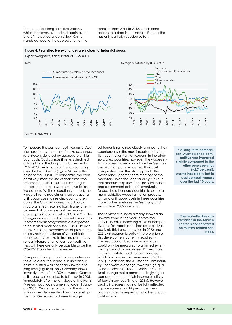there are clear long-term fluctuations, which, however, evened out again by the end of the period under review. China stands out due to the appreciation of the

renminbi from 2014 to 2015, which corresponds to a drop in the index in Figure 4 that has only partially receded so far.

#### Figure 4: **Real effective exchange rate indices for industrial goods**

Export weighted, first quarter of 1999 = 100



Source: OeNB, WIFO.

To measure the cost competitiveness of Austrian producers, the real-effective exchange rate index is deflated by aggregate unit labour costs. Cost competitiveness declined only slightly in the long run  $(-1.1$  percent in 1999-2020), with much of the loss occurring over the last 10 years (Figure 5). Since the onset of the COVID-19 pandemic, the comparatively intensive use of short-time work schemes in Austria resulted in a strong increase in per capita wages relative to trading partners. While production slumped, the wage bill remained almost stable, causing unit labour costs to rise disproportionately during the COVID-19 crisis. In addition, a structural effect resulting from higher unemployment of low-wage unskilled workers drove up unit labour costs (OECD, 2021). The divergence described above will diminish as short-time work programmes are expected to be scaled back once the COVID-19 pandemic subsides. Nevertheless, at present the sharply reduced volume of work distorts hourly wages relative to trading partners. A serious interpretation of cost competitiveness will therefore only be possible once the COVID-19 pandemic has ended.

Compared to important trading partners in the euro area, the increase in unit labour costs in Austria was noticeably lower for a long time (Figure 5), only Germany shows lower dynamics from 2006 onwards. German unit labour costs started to fall back in 2005, immediately after the last stage of the Hartz IV reform package came into force (1 January 2005). Wage negotiations in the Austrian industry are also oriented towards developments in Germany, so domestic wage

settlements remained closely aligned to their counterparts in the most important destination country for Austrian exports. In the other euro area countries, however, the wage-setting process moved away from the German and Austrian path, worsening their cost competitiveness. This also applies to the Netherlands, another core member of the monetary union that continuously runs current account surpluses. The financial market and government debt crisis eventually forced the other euro countries to adopt a more restrictive wage formation process, bringing unit labour costs in these countries closer to the levels seen in Germany and Austria from 2009 onwards.

The services sub-index already showed an upward trend in the years before the COVID-19 crisis, indicating a loss of competitiveness for tradable services (especially in tourism). This trend intensified in 2020 and 2021. An economic policy interpretation of this development currently requires increased caution because many prices could only be measured to a limited extent during the lockdown phases. For example, prices for hotels could not be collected, which is why estimates were used (OeNB, 2021). In addition, the Austrian tourism industry underwent a change towards high-quality hotel services in recent years. This structural change met a correspondingly higher demand due to the high-income elasticity of tourism services (Smeral, 2014). However, quality increases may not be fully reflected in price surveys and higher prices then wrongly give the impression of a loss of competitiveness.

**In a long-term comparison, Austria's price competitiveness improved slightly compared to the other euro countries (+2.7 percent). Austria has clearly lost in cost competitiveness over the last 10 years.** 

**The real-effective appreciation in the service sector is concentrated on tourism-related services.**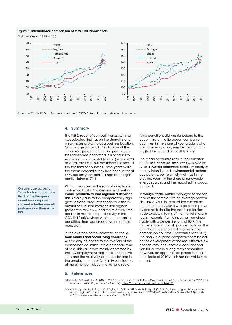#### Figure 5: **International comparison of total unit labour costs**

First quarter of 1999 = 100





#### **4. Summary**

The WIFO radar of competitiveness summarises selected findings on the strengths and weaknesses of Austria as a business location. On average across all 24 indicators of the radar, 66.5 percent of the European countries compared performed less or equal to Austria in the last available year (mostly 2020 or 2019). Austria is thus positioned just behind the top third of countries. Three years earlier, the mean percentile rank had been lower at 64.9, but ten years earlier it had been significantly higher at 70.1.

With a mean percentile rank of 79.6, Austria performed best in the dimension of **real income, productivity and regional distribution.**  This is mainly due to the comparatively high gross regional product per capita in the industrial or rural non-metropolitan regions (percentile rank 96.2) and the relatively small decline in multifactor productivity in the COVID-19 crisis, where Austrian companies benefitted from generous government aid measures.

In the average of the indicators on the **labour market and social living conditions,**  Austria only belonged to the midfield of the comparison countries with a percentile rank of 56.8. This value was mainly depressed by the low employment rate in full-time equivalents and the relatively large gender gap in the employment rate. Only in two indicators of the dimension labour market and social

living conditions did Austria belong to the upper third of the European comparison countries: in the share of young adults who are not in education, employment or training (NEET rate) and in adult learning.

The mean percentile rank in the indicators on the **use of natural resources** was 62.3 for Austria. Austria performed relatively poorly in energy intensity and environmental technology patents, but relatively well – as in the previous year – in the share of renewable energy sources and the modal split in goods transport.

In **foreign trade,** Austria belonged to the top third of the sample with an average percentile rank of 68.4. In terms of the current account balance, Austria was able to improve by one rank despite the declining foreign trade surplus. In terms of the market share in tourism exports, Austria's position remained stable with a percentile rank of 83.9. The market share in global goods exports, on the other hand, deteriorated relative to the comparison countries (percentile rank 64.5). The analysis of price competitiveness based on the development of the real effective exchange rate index shows a constant position for Austria in a long-term comparison. However, an appreciation period started in the middle of 2019 which has not yet fully receded.

#### **5. References**

Bittschi, B., & Reinstaller, A. (2021). 2020 Deterioration in Unit Labour Cost Position, but Data Distorted by COVID-19 Measures. *WIFO Reports on Austria,* (12). https://reportsonaustria.wifo.ac.at/69195.

Bock-Schappelwein, J., Firgo, M., Kügler, A., & Schmidt-Padickakudy, N. (2021). Digitalisierung in Österreich: Fortschritt, digitale Skills und Infrastrukturausstattung in Zeiten von COVID-19. *WIFO-Monatsberichte, 94*(6), 451- 459. https://www.wifo.ac.at/wwa/pubid/67254.

**On average across all 24 indicators, about one third of the European countries compared showed a better overall performance than Austria.**